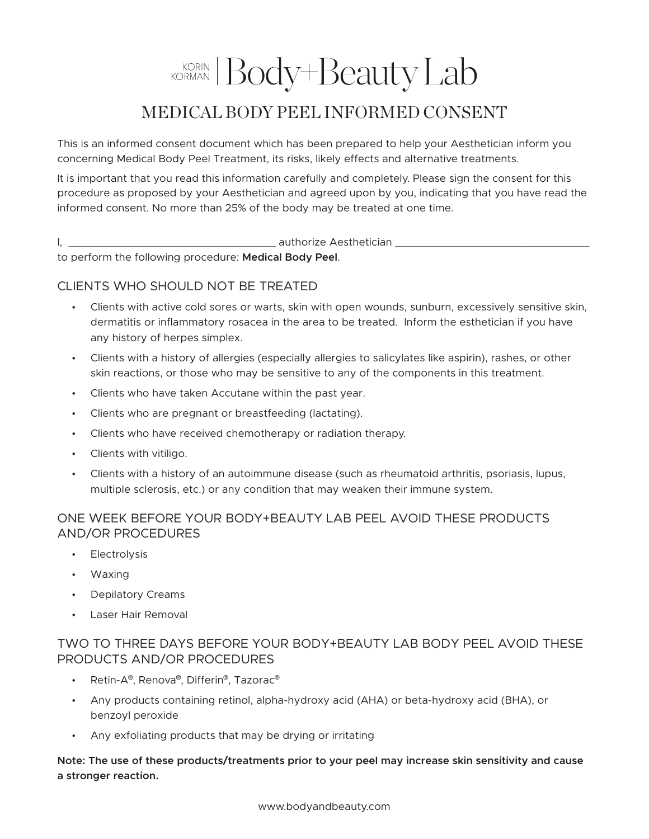# KORIAN Body+Beauty Lab

# MEDICAL BODY PEEL INFORMED CONSENT

This is an informed consent document which has been prepared to help your Aesthetician inform you concerning Medical Body Peel Treatment, its risks, likely effects and alternative treatments.

It is important that you read this information carefully and completely. Please sign the consent for this procedure as proposed by your Aesthetician and agreed upon by you, indicating that you have read the informed consent. No more than 25% of the body may be treated at one time.

## I. 2011. 2012. The authorize Aesthetician 2012. The authorize Aesthetician 2012. The authorize Aesthetician 201

to perform the following procedure: **Medical Body Peel**.

#### CLIENTS WHO SHOULD NOT BE TREATED

- Clients with active cold sores or warts, skin with open wounds, sunburn, excessively sensitive skin, dermatitis or inflammatory rosacea in the area to be treated. Inform the esthetician if you have any history of herpes simplex.
- Clients with a history of allergies (especially allergies to salicylates like aspirin), rashes, or other skin reactions, or those who may be sensitive to any of the components in this treatment.
- Clients who have taken Accutane within the past year.
- Clients who are pregnant or breastfeeding (lactating).
- Clients who have received chemotherapy or radiation therapy.
- Clients with vitiligo.
- Clients with a history of an autoimmune disease (such as rheumatoid arthritis, psoriasis, lupus, multiple sclerosis, etc.) or any condition that may weaken their immune system.

#### ONE WEEK BEFORE YOUR BODY+BEAUTY LAB PEEL AVOID THESE PRODUCTS AND/OR PROCEDURES

- Electrolysis
- Waxing
- Depilatory Creams
- Laser Hair Removal

## TWO TO THREE DAYS BEFORE YOUR BODY+BEAUTY LAB BODY PEEL AVOID THESE PRODUCTS AND/OR PROCEDURES

- Retin-A®, Renova®, Differin®, Tazorac®
- Any products containing retinol, alpha-hydroxy acid (AHA) or beta-hydroxy acid (BHA), or benzoyl peroxide
- Any exfoliating products that may be drying or irritating

**Note: The use of these products/treatments prior to your peel may increase skin sensitivity and cause a stronger reaction.**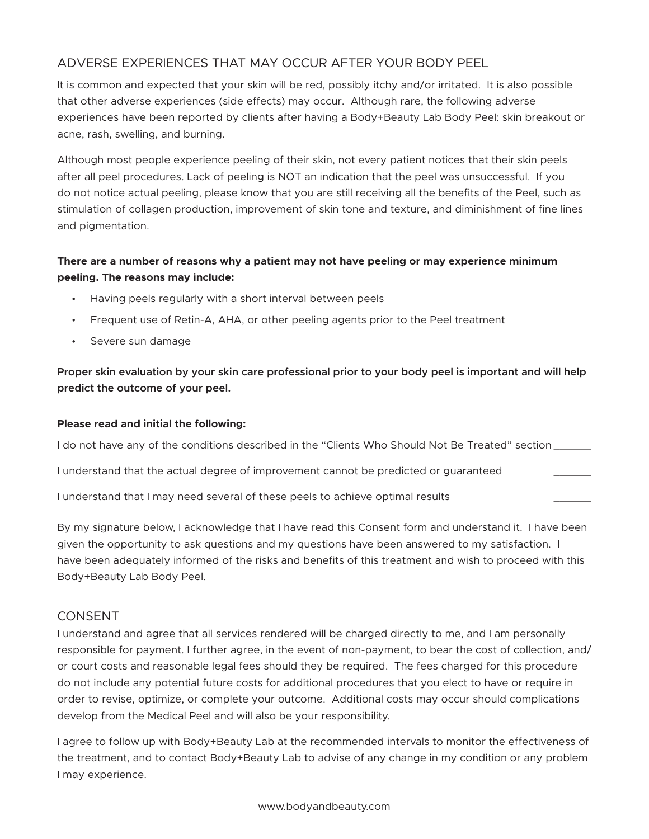# ADVERSE EXPERIENCES THAT MAY OCCUR AFTER YOUR BODY PEEL

It is common and expected that your skin will be red, possibly itchy and/or irritated. It is also possible that other adverse experiences (side effects) may occur. Although rare, the following adverse experiences have been reported by clients after having a Body+Beauty Lab Body Peel: skin breakout or acne, rash, swelling, and burning.

Although most people experience peeling of their skin, not every patient notices that their skin peels after all peel procedures. Lack of peeling is NOT an indication that the peel was unsuccessful. If you do not notice actual peeling, please know that you are still receiving all the benefits of the Peel, such as stimulation of collagen production, improvement of skin tone and texture, and diminishment of fine lines and pigmentation.

## **There are a number of reasons why a patient may not have peeling or may experience minimum peeling. The reasons may include:**

- Having peels regularly with a short interval between peels
- Frequent use of Retin-A, AHA, or other peeling agents prior to the Peel treatment
- Severe sun damage

**Proper skin evaluation by your skin care professional prior to your body peel is important and will help predict the outcome of your peel.**

#### **Please read and initial the following:**

I do not have any of the conditions described in the "Clients Who Should Not Be Treated" section \_\_\_\_\_\_\_\_\_\_\_\_\_

I understand that the actual degree of improvement cannot be predicted or guaranteed

I understand that I may need several of these peels to achieve optimal results

By my signature below, I acknowledge that I have read this Consent form and understand it. I have been given the opportunity to ask questions and my questions have been answered to my satisfaction. I have been adequately informed of the risks and benefits of this treatment and wish to proceed with this Body+Beauty Lab Body Peel.

#### CONSENT

I understand and agree that all services rendered will be charged directly to me, and I am personally responsible for payment. I further agree, in the event of non-payment, to bear the cost of collection, and/ or court costs and reasonable legal fees should they be required. The fees charged for this procedure do not include any potential future costs for additional procedures that you elect to have or require in order to revise, optimize, or complete your outcome. Additional costs may occur should complications develop from the Medical Peel and will also be your responsibility.

I agree to follow up with Body+Beauty Lab at the recommended intervals to monitor the effectiveness of the treatment, and to contact Body+Beauty Lab to advise of any change in my condition or any problem I may experience.